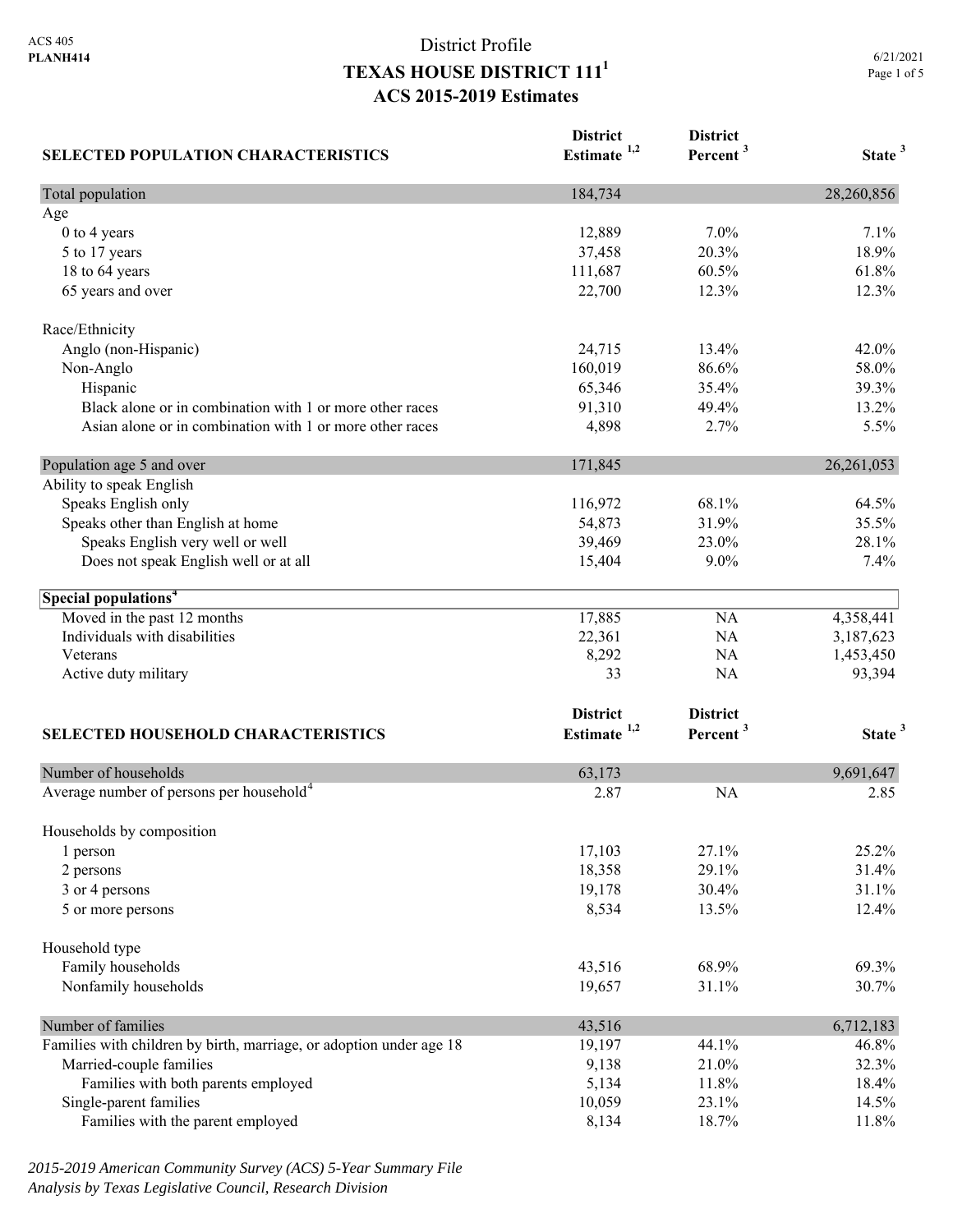| <b>SELECTED POPULATION CHARACTERISTICS</b>                          | <b>District</b><br>Estimate <sup>1,2</sup> | <b>District</b><br>Percent <sup>3</sup> | State <sup>3</sup> |
|---------------------------------------------------------------------|--------------------------------------------|-----------------------------------------|--------------------|
| Total population                                                    | 184,734                                    |                                         | 28,260,856         |
| Age                                                                 |                                            |                                         |                    |
| 0 to 4 years                                                        | 12,889                                     | 7.0%                                    | 7.1%               |
| 5 to 17 years                                                       | 37,458                                     | 20.3%                                   | 18.9%              |
| 18 to 64 years                                                      | 111,687                                    | 60.5%                                   | 61.8%              |
| 65 years and over                                                   | 22,700                                     | 12.3%                                   | 12.3%              |
| Race/Ethnicity                                                      |                                            |                                         |                    |
| Anglo (non-Hispanic)                                                | 24,715                                     | 13.4%                                   | 42.0%              |
| Non-Anglo                                                           | 160,019                                    | 86.6%                                   | 58.0%              |
| Hispanic                                                            | 65,346                                     | 35.4%                                   | 39.3%              |
| Black alone or in combination with 1 or more other races            | 91,310                                     | 49.4%                                   | 13.2%              |
| Asian alone or in combination with 1 or more other races            | 4,898                                      | 2.7%                                    | 5.5%               |
| Population age 5 and over                                           | 171,845                                    |                                         | 26, 261, 053       |
| Ability to speak English                                            |                                            |                                         |                    |
| Speaks English only                                                 | 116,972                                    | 68.1%                                   | 64.5%              |
| Speaks other than English at home                                   | 54,873                                     | 31.9%                                   | 35.5%              |
| Speaks English very well or well                                    | 39,469                                     | 23.0%                                   | 28.1%              |
| Does not speak English well or at all                               | 15,404                                     | 9.0%                                    | 7.4%               |
| Special populations <sup>4</sup>                                    |                                            |                                         |                    |
| Moved in the past 12 months                                         | 17,885                                     | NA                                      | 4,358,441          |
| Individuals with disabilities                                       | 22,361                                     | NA                                      | 3,187,623          |
| Veterans                                                            | 8,292                                      | NA                                      | 1,453,450          |
| Active duty military                                                | 33                                         | NA                                      | 93,394             |
|                                                                     | <b>District</b>                            | <b>District</b>                         |                    |
| <b>SELECTED HOUSEHOLD CHARACTERISTICS</b>                           | Estimate <sup>1,2</sup>                    | Percent <sup>3</sup>                    | State <sup>3</sup> |
| Number of households                                                | 63,173                                     |                                         | 9,691,647          |
| Average number of persons per household <sup>4</sup>                | 2.87                                       | <b>NA</b>                               | 2.85               |
| Households by composition                                           |                                            |                                         |                    |
| 1 person                                                            | 17,103                                     | 27.1%                                   | 25.2%              |
| 2 persons                                                           | 18,358                                     | 29.1%                                   | 31.4%              |
| 3 or 4 persons                                                      | 19,178                                     | 30.4%                                   | 31.1%              |
| 5 or more persons                                                   | 8,534                                      | 13.5%                                   | 12.4%              |
| Household type                                                      |                                            |                                         |                    |
| Family households                                                   | 43,516                                     | 68.9%                                   | 69.3%              |
| Nonfamily households                                                | 19,657                                     | 31.1%                                   | 30.7%              |
| Number of families                                                  | 43,516                                     |                                         | 6,712,183          |
| Families with children by birth, marriage, or adoption under age 18 | 19,197                                     | 44.1%                                   | 46.8%              |
| Married-couple families                                             | 9,138                                      | 21.0%                                   | 32.3%              |
| Families with both parents employed                                 | 5,134                                      | 11.8%                                   | 18.4%              |
| Single-parent families                                              | 10,059                                     | 23.1%                                   | 14.5%              |
| Families with the parent employed                                   | 8,134                                      | 18.7%                                   | 11.8%              |

*2015-2019 American Community Survey (ACS) 5-Year Summary File Analysis by Texas Legislative Council, Research Division*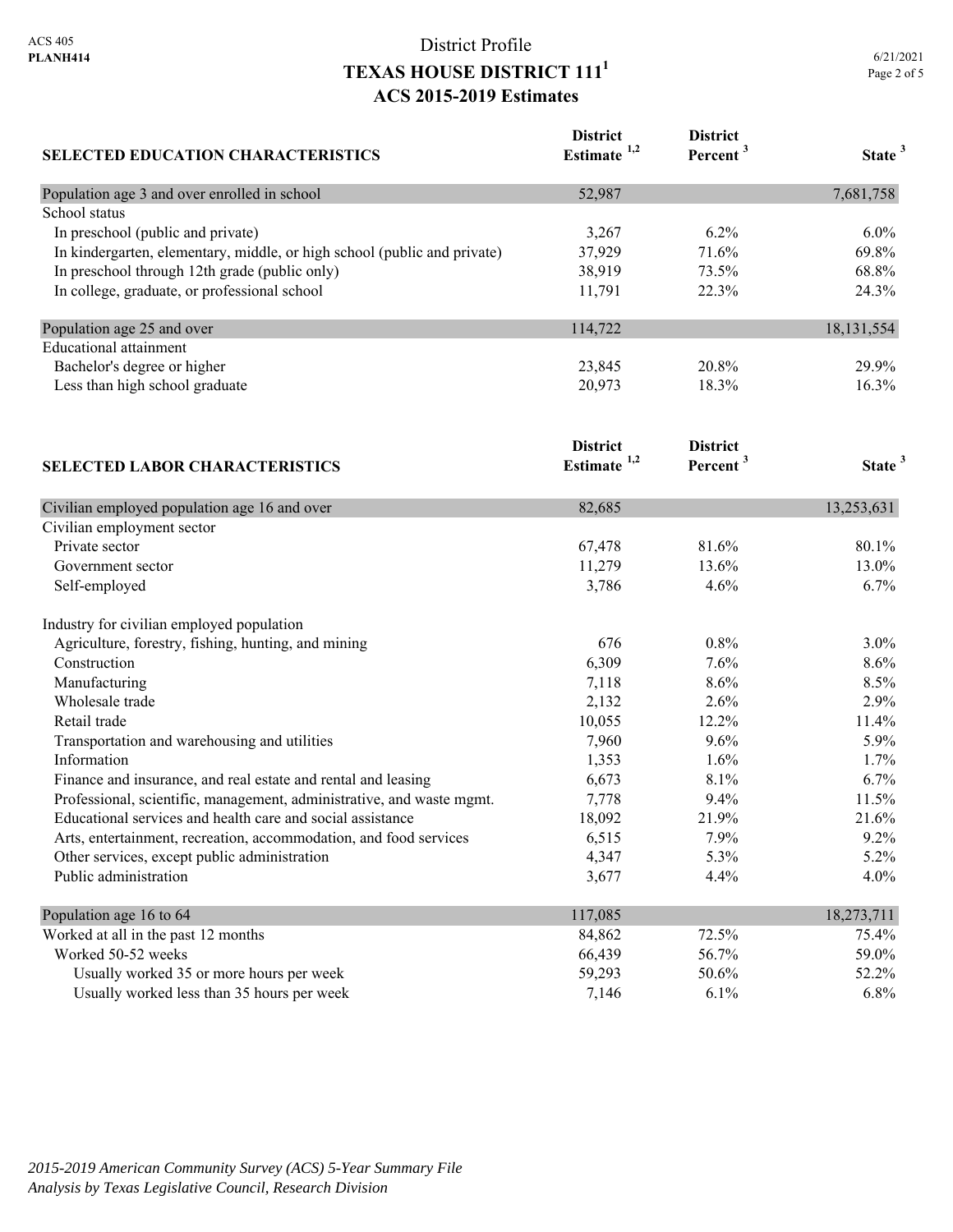| 6/21/2021   |  |  |
|-------------|--|--|
| Page 2 of 5 |  |  |

|                                                                          | <b>District</b><br>Estimate <sup>1,2</sup> | <b>District</b><br>Percent <sup>3</sup> | State <sup>3</sup> |
|--------------------------------------------------------------------------|--------------------------------------------|-----------------------------------------|--------------------|
| <b>SELECTED EDUCATION CHARACTERISTICS</b>                                |                                            |                                         |                    |
| Population age 3 and over enrolled in school                             | 52,987                                     |                                         | 7,681,758          |
| School status                                                            |                                            |                                         |                    |
| In preschool (public and private)                                        | 3,267                                      | 6.2%                                    | $6.0\%$            |
| In kindergarten, elementary, middle, or high school (public and private) | 37,929                                     | 71.6%                                   | 69.8%              |
| In preschool through 12th grade (public only)                            | 38,919                                     | 73.5%                                   | 68.8%              |
| In college, graduate, or professional school                             | 11,791                                     | 22.3%                                   | 24.3%              |
| Population age 25 and over                                               | 114,722                                    |                                         | 18, 131, 554       |
| <b>Educational</b> attainment                                            |                                            |                                         |                    |
| Bachelor's degree or higher                                              | 23,845                                     | 20.8%                                   | 29.9%              |
| Less than high school graduate                                           | 20,973                                     | 18.3%                                   | 16.3%              |
|                                                                          | <b>District</b>                            | <b>District</b>                         |                    |
| <b>SELECTED LABOR CHARACTERISTICS</b>                                    | Estimate <sup>1,2</sup>                    | Percent <sup>3</sup>                    | State <sup>3</sup> |
| Civilian employed population age 16 and over                             | 82,685                                     |                                         | 13,253,631         |
| Civilian employment sector                                               |                                            |                                         |                    |
| Private sector                                                           | 67,478                                     | 81.6%                                   | 80.1%              |
| Government sector                                                        | 11,279                                     | 13.6%                                   | 13.0%              |
| Self-employed                                                            | 3,786                                      | 4.6%                                    | 6.7%               |
| Industry for civilian employed population                                |                                            |                                         |                    |
| Agriculture, forestry, fishing, hunting, and mining                      | 676                                        | 0.8%                                    | $3.0\%$            |
| Construction                                                             | 6,309                                      | 7.6%                                    | 8.6%               |
| Manufacturing                                                            | 7,118                                      | 8.6%                                    | 8.5%               |
| Wholesale trade                                                          | 2,132                                      | 2.6%                                    | 2.9%               |
| Retail trade                                                             | 10,055                                     | 12.2%                                   | 11.4%              |
| Transportation and warehousing and utilities                             | 7,960                                      | 9.6%                                    | 5.9%               |
| Information                                                              | 1,353                                      | 1.6%                                    | 1.7%               |
| Finance and insurance, and real estate and rental and leasing            | 6,673                                      | 8.1%                                    | 6.7%               |
| Professional, scientific, management, administrative, and waste mgmt.    | 7,778                                      | 9.4%                                    | 11.5%              |
| Educational services and health care and social assistance               | 18,092                                     | 21.9%                                   | 21.6%              |
| Arts, entertainment, recreation, accommodation, and food services        | 6,515                                      | 7.9%                                    | 9.2%               |
| Other services, except public administration                             | 4,347                                      | 5.3%                                    | 5.2%               |
| Public administration                                                    | 3,677                                      | 4.4%                                    | 4.0%               |
| Population age 16 to 64                                                  | 117,085                                    |                                         | 18,273,711         |
| Worked at all in the past 12 months                                      | 84,862                                     | 72.5%                                   | 75.4%              |
| Worked 50-52 weeks                                                       | 66,439                                     | 56.7%                                   | 59.0%              |
| Usually worked 35 or more hours per week                                 | 59,293                                     | 50.6%                                   | 52.2%              |
| Usually worked less than 35 hours per week                               | 7,146                                      | 6.1%                                    | 6.8%               |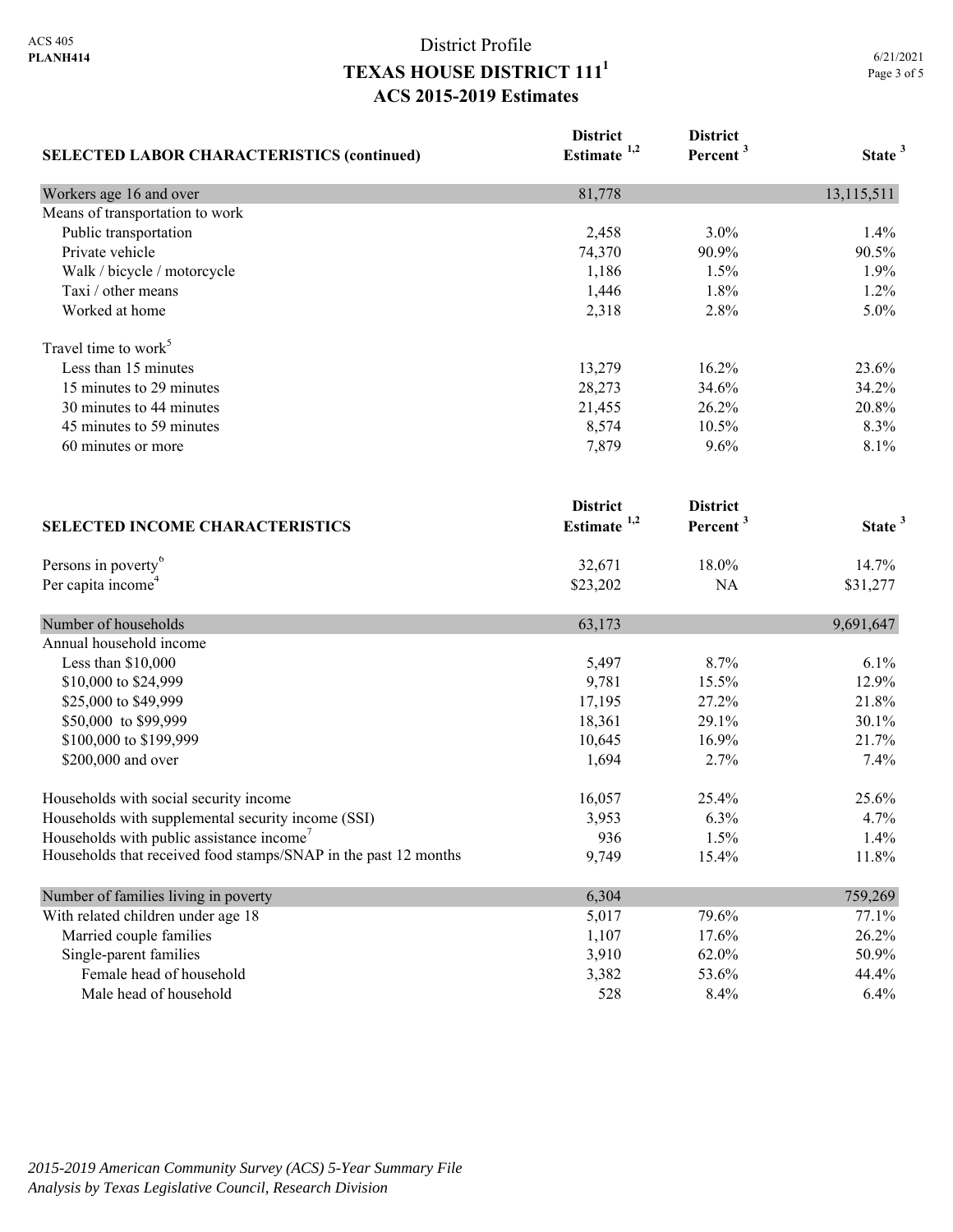| <b>SELECTED LABOR CHARACTERISTICS (continued)</b>               | <b>District</b><br>Estimate <sup>1,2</sup> | <b>District</b><br>Percent <sup>3</sup> | State <sup>3</sup> |
|-----------------------------------------------------------------|--------------------------------------------|-----------------------------------------|--------------------|
| Workers age 16 and over                                         | 81,778                                     |                                         | 13,115,511         |
| Means of transportation to work                                 |                                            |                                         |                    |
| Public transportation                                           | 2,458                                      | 3.0%                                    | 1.4%               |
| Private vehicle                                                 | 74,370                                     | 90.9%                                   | 90.5%              |
| Walk / bicycle / motorcycle                                     | 1,186                                      | 1.5%                                    | 1.9%               |
| Taxi / other means                                              | 1,446                                      | 1.8%                                    | 1.2%               |
| Worked at home                                                  | 2,318                                      | 2.8%                                    | 5.0%               |
| Travel time to work <sup>5</sup>                                |                                            |                                         |                    |
| Less than 15 minutes                                            | 13,279                                     | 16.2%                                   | 23.6%              |
| 15 minutes to 29 minutes                                        | 28,273                                     | 34.6%                                   | 34.2%              |
| 30 minutes to 44 minutes                                        | 21,455                                     | 26.2%                                   | 20.8%              |
| 45 minutes to 59 minutes                                        | 8,574                                      | 10.5%                                   | 8.3%               |
| 60 minutes or more                                              | 7,879                                      | 9.6%                                    | 8.1%               |
| <b>SELECTED INCOME CHARACTERISTICS</b>                          | <b>District</b><br>Estimate <sup>1,2</sup> | <b>District</b><br>Percent <sup>3</sup> | State <sup>3</sup> |
|                                                                 |                                            |                                         |                    |
| Persons in poverty <sup>6</sup>                                 | 32,671                                     | 18.0%                                   | 14.7%              |
| Per capita income <sup>4</sup>                                  | \$23,202                                   | NA                                      | \$31,277           |
| Number of households                                            | 63,173                                     |                                         | 9,691,647          |
| Annual household income                                         |                                            |                                         |                    |
| Less than \$10,000                                              | 5,497                                      | 8.7%                                    | 6.1%               |
| \$10,000 to \$24,999                                            | 9,781                                      | 15.5%                                   | 12.9%              |
| \$25,000 to \$49,999                                            | 17,195                                     | 27.2%                                   | 21.8%              |
| \$50,000 to \$99,999                                            | 18,361                                     | 29.1%                                   | 30.1%              |
| \$100,000 to \$199,999                                          | 10,645                                     | 16.9%                                   | 21.7%              |
| \$200,000 and over                                              | 1,694                                      | 2.7%                                    | 7.4%               |
| Households with social security income                          | 16,057                                     | 25.4%                                   | 25.6%              |
| Households with supplemental security income (SSI)              | 3,953                                      | 6.3%                                    | 4.7%               |
| Households with public assistance income                        | 936                                        | 1.5%                                    | 1.4%               |
| Households that received food stamps/SNAP in the past 12 months | 9,749                                      | 15.4%                                   | 11.8%              |
| Number of families living in poverty                            | 6,304                                      |                                         | 759,269            |
| With related children under age 18                              | 5,017                                      | 79.6%                                   | 77.1%              |
| Married couple families                                         | 1,107                                      | 17.6%                                   | 26.2%              |
| Single-parent families                                          | 3,910                                      | 62.0%                                   | 50.9%              |
| Female head of household                                        | 3,382                                      | 53.6%                                   | 44.4%              |
| Male head of household                                          | 528                                        | 8.4%                                    | 6.4%               |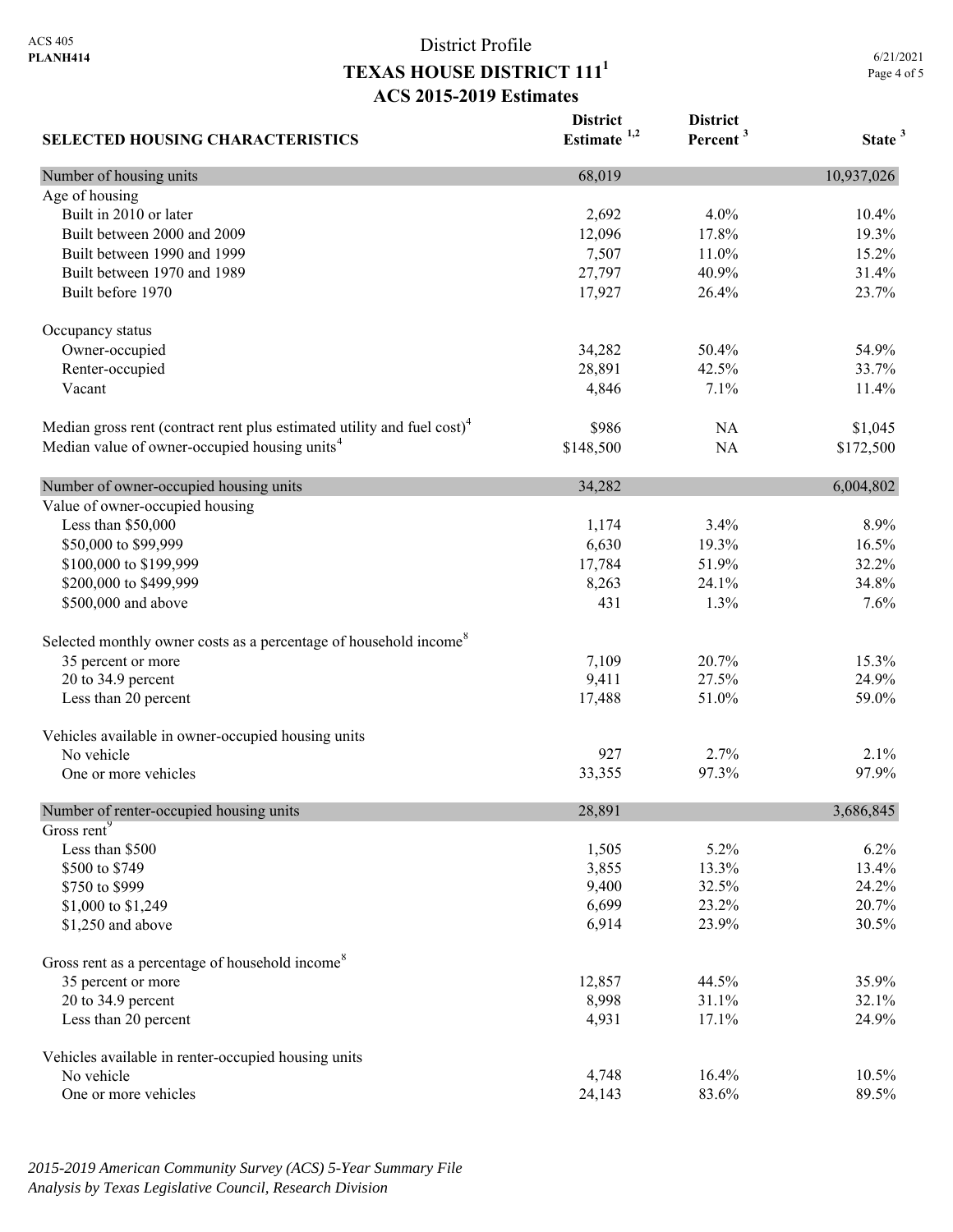6/21/2021 Page 4 of 5

| <b>SELECTED HOUSING CHARACTERISTICS</b>                                             | <b>District</b><br>Estimate $1,2$ | <b>District</b><br>Percent <sup>3</sup> | State <sup>3</sup> |
|-------------------------------------------------------------------------------------|-----------------------------------|-----------------------------------------|--------------------|
| Number of housing units                                                             | 68,019                            |                                         | 10,937,026         |
| Age of housing                                                                      |                                   |                                         |                    |
| Built in 2010 or later                                                              | 2,692                             | 4.0%                                    | 10.4%              |
| Built between 2000 and 2009                                                         | 12,096                            | 17.8%                                   | 19.3%              |
| Built between 1990 and 1999                                                         | 7,507                             | 11.0%                                   | 15.2%              |
| Built between 1970 and 1989                                                         | 27,797                            | 40.9%                                   | 31.4%              |
| Built before 1970                                                                   | 17,927                            | 26.4%                                   | 23.7%              |
| Occupancy status                                                                    |                                   |                                         |                    |
| Owner-occupied                                                                      | 34,282                            | 50.4%                                   | 54.9%              |
| Renter-occupied                                                                     | 28,891                            | 42.5%                                   | 33.7%              |
| Vacant                                                                              | 4,846                             | 7.1%                                    | 11.4%              |
| Median gross rent (contract rent plus estimated utility and fuel cost) <sup>4</sup> | \$986                             | NA                                      | \$1,045            |
| Median value of owner-occupied housing units <sup>4</sup>                           | \$148,500                         | <b>NA</b>                               | \$172,500          |
| Number of owner-occupied housing units                                              | 34,282                            |                                         | 6,004,802          |
| Value of owner-occupied housing                                                     |                                   |                                         |                    |
| Less than \$50,000                                                                  | 1,174                             | 3.4%                                    | 8.9%               |
| \$50,000 to \$99,999                                                                | 6,630                             | 19.3%                                   | 16.5%              |
| \$100,000 to \$199,999                                                              | 17,784                            | 51.9%                                   | 32.2%              |
| \$200,000 to \$499,999                                                              | 8,263                             | 24.1%                                   | 34.8%              |
| \$500,000 and above                                                                 | 431                               | 1.3%                                    | 7.6%               |
| Selected monthly owner costs as a percentage of household income <sup>8</sup>       |                                   |                                         |                    |
| 35 percent or more                                                                  | 7,109                             | 20.7%                                   | 15.3%              |
| 20 to 34.9 percent                                                                  | 9,411                             | 27.5%                                   | 24.9%              |
| Less than 20 percent                                                                | 17,488                            | 51.0%                                   | 59.0%              |
| Vehicles available in owner-occupied housing units                                  |                                   |                                         |                    |
| No vehicle                                                                          | 927                               | 2.7%                                    | 2.1%               |
| One or more vehicles                                                                | 33,355                            | 97.3%                                   | 97.9%              |
| Number of renter-occupied housing units                                             | 28,891                            |                                         | 3,686,845          |
| Gross rent <sup>9</sup>                                                             |                                   |                                         |                    |
| Less than \$500                                                                     | 1,505                             | 5.2%                                    | 6.2%               |
| \$500 to \$749                                                                      | 3,855                             | 13.3%                                   | 13.4%              |
| \$750 to \$999                                                                      | 9,400                             | 32.5%                                   | 24.2%              |
| \$1,000 to \$1,249                                                                  | 6,699                             | 23.2%                                   | 20.7%              |
| \$1,250 and above                                                                   | 6,914                             | 23.9%                                   | 30.5%              |
| Gross rent as a percentage of household income <sup>8</sup>                         |                                   |                                         |                    |
| 35 percent or more                                                                  | 12,857                            | 44.5%                                   | 35.9%              |
| $20$ to $34.9$ percent                                                              | 8,998                             | 31.1%                                   | 32.1%              |
| Less than 20 percent                                                                | 4,931                             | 17.1%                                   | 24.9%              |
| Vehicles available in renter-occupied housing units                                 |                                   |                                         |                    |
| No vehicle                                                                          | 4,748                             | 16.4%                                   | 10.5%              |
| One or more vehicles                                                                | 24,143                            | 83.6%                                   | 89.5%              |